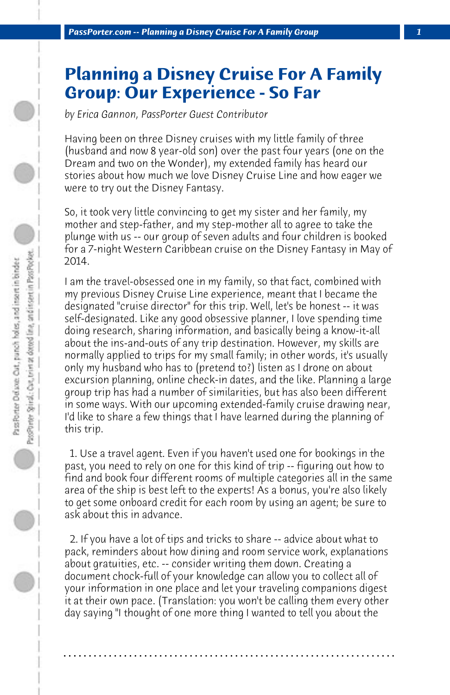## **Planning a Disney Cruise For A Family Group: Our Experience - So Far**

*by Erica Gannon, PassPorter Guest Contributor*

Having been on three Disney cruises with my little family of three (husband and now 8 year-old son) over the past four years (one on the Dream and two on the Wonder), my extended family has heard our stories about how much we love Disney Cruise Line and how eager we were to try out the Disney Fantasy.

So, it took very little convincing to get my sister and her family, my mother and step-father, and my step-mother all to agree to take the plunge with us -- our group of seven adults and four children is booked for a 7-night Western Caribbean cruise on the Disney Fantasy in May of 2014.

I am the travel-obsessed one in my family, so that fact, combined with my previous Disney Cruise Line experience, meant that I became the designated "cruise director" for this trip. Well, let's be honest -- it was self-designated. Like any good obsessive planner, I love spending time doing research, sharing information, and basically being a know-it-all about the ins-and-outs of any trip destination. However, my skills are normally applied to trips for my small family; in other words, it's usually only my husband who has to (pretend to?) listen as I drone on about excursion planning, online check-in dates, and the like. Planning a large group trip has had a number of similarities, but has also been different in some ways. With our upcoming extended-family cruise drawing near, I'd like to share a few things that I have learned during the planning of this trip.

 1. Use a travel agent. Even if you haven't used one for bookings in the past, you need to rely on one for this kind of trip -- figuring out how to find and book four different rooms of multiple categories all in the same area of the ship is best left to the experts! As a bonus, you're also likely to get some onboard credit for each room by using an agent; be sure to ask about this in advance.

 2. If you have a lot of tips and tricks to share -- advice about what to pack, reminders about how dining and room service work, explanations about gratuities, etc. -- consider writing them down. Creating a document chock-full of your knowledge can allow you to collect all of your information in one place and let your traveling companions digest it at their own pace. (Translation: you won't be calling them every other day saying "I thought of one more thing I wanted to tell you about the

**. . . . . . . . . . . . . . . . . . . . . . . . . . . . . . . . . . . . . . . . . . . . . . . . . . . . . . . . . . . . . . . . . .**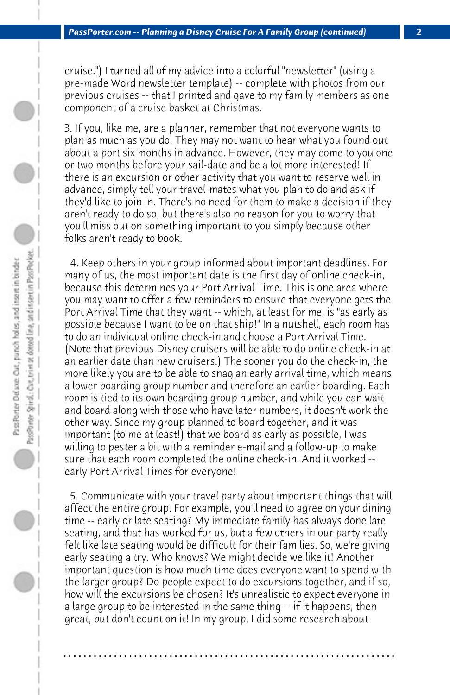cruise.") I turned all of my advice into a colorful "newsletter" (using a pre-made Word newsletter template) -- complete with photos from our previous cruises -- that I printed and gave to my family members as one component of a cruise basket at Christmas.

3. If you, like me, are a planner, remember that not everyone wants to plan as much as you do. They may not want to hear what you found out about a port six months in advance. However, they may come to you one or two months before your sail-date and be a lot more interested! If there is an excursion or other activity that you want to reserve well in advance, simply tell your travel-mates what you plan to do and ask if they'd like to join in. There's no need for them to make a decision if they aren't ready to do so, but there's also no reason for you to worry that you'll miss out on something important to you simply because other folks aren't ready to book.

 4. Keep others in your group informed about important deadlines. For many of us, the most important date is the first day of online check-in, because this determines your Port Arrival Time. This is one area where you may want to offer a few reminders to ensure that everyone gets the Port Arrival Time that they want -- which, at least for me, is "as early as possible because I want to be on that ship!" In a nutshell, each room has to do an individual online check-in and choose a Port Arrival Time. (Note that previous Disney cruisers will be able to do online check-in at an earlier date than new cruisers.) The sooner you do the check-in, the more likely you are to be able to snag an early arrival time, which means a lower boarding group number and therefore an earlier boarding. Each room is tied to its own boarding group number, and while you can wait and board along with those who have later numbers, it doesn't work the other way. Since my group planned to board together, and it was important (to me at least!) that we board as early as possible, I was willing to pester a bit with a reminder e-mail and a follow-up to make sure that each room completed the online check-in. And it worked - early Port Arrival Times for everyone!

 5. Communicate with your travel party about important things that will affect the entire group. For example, you'll need to agree on your dining time -- early or late seating? My immediate family has always done late seating, and that has worked for us, but a few others in our party really felt like late seating would be difficult for their families. So, we're giving early seating a try. Who knows? We might decide we like it! Another important question is how much time does everyone want to spend with the larger group? Do people expect to do excursions together, and if so, how will the excursions be chosen? It's unrealistic to expect everyone in a large group to be interested in the same thing -- if it happens, then great, but don't count on it! In my group, I did some research about

**. . . . . . . . . . . . . . . . . . . . . . . . . . . . . . . . . . . . . . . . . . . . . . . . . . . . . . . . . . . . . . . . . .**